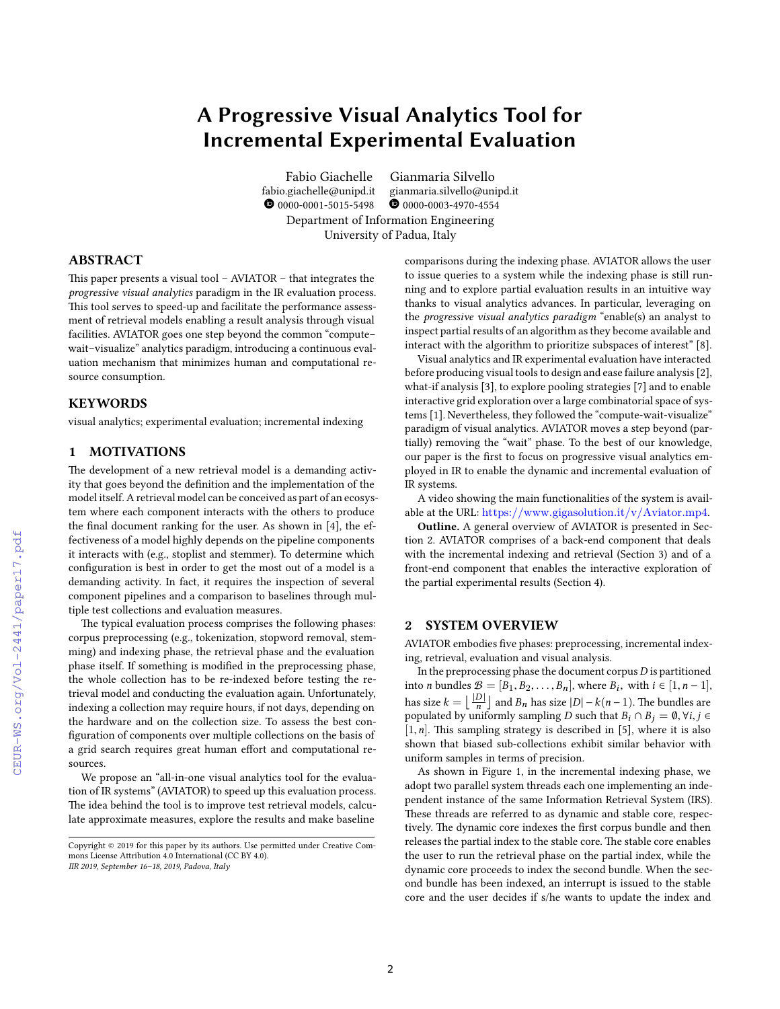# **A Progressive Visual Analytics Tool for Incremental Experimental Evaluation**

Fabio Giachelle Gianmaria Silvello fabio.giachelle@unipd.it gianmaria.silvello@unipd.it  $\bullet$  0000-0001-5015-5498  $\bullet$  0000-0003-4970-4554 Department of Information Engineering University of Padua, Italy

## **ABSTRACT**

This paper presents a visual tool – AVIATOR – that integrates the *progressive visual analytics* paradigm in the IR evaluation process. This tool serves to speed-up and facilitate the performance assessment of retrieval models enabling a result analysis through visual facilities. AVIATOR goes one step beyond the common "compute– wait–visualize" analytics paradigm, introducing a continuous evaluation mechanism that minimizes human and computational resource consumption.

#### **KEYWORDS**

visual analytics; experimental evaluation; incremental indexing

## **1 MOTIVATIONS**

The development of a new retrieval model is a demanding activity that goes beyond the definition and the implementation of the model itself. A retrieval model can be conceived as part of an ecosystem where each component interacts with the others to produce the final document ranking for the user. As shown in [4], the effectiveness of a model highly depends on the pipeline components it interacts with (e.g., stoplist and stemmer). To determine which configuration is best in order to get the most out of a model is a demanding activity. In fact, it requires the inspection of several component pipelines and a comparison to baselines through multiple test collections and evaluation measures.

The typical evaluation process comprises the following phases: corpus preprocessing (e.g., tokenization, stopword removal, stemming) and indexing phase, the retrieval phase and the evaluation phase itself. If something is modified in the preprocessing phase, the whole collection has to be re-indexed before testing the retrieval model and conducting the evaluation again. Unfortunately, indexing a collection may require hours, if not days, depending on the hardware and on the collection size. To assess the best configuration of components over multiple collections on the basis of a grid search requires great human effort and computational resources.

We propose an "all-in-one visual analytics tool for the evaluation of IR systems" (AVIATOR) to speed up this evaluation process. The idea behind the tool is to improve test retrieval models, calculate approximate measures, explore the results and make baseline

comparisons during the indexing phase. AVIATOR allows the user to issue queries to a system while the indexing phase is still running and to explore partial evaluation results in an intuitive way thanks to visual analytics advances. In particular, leveraging on the *progressive visual analytics paradigm* "enable(s) an analyst to inspect partial results of an algorithm as they become available and interact with the algorithm to prioritize subspaces of interest" [8].

Visual analytics and IR experimental evaluation have interacted before producing visual tools to design and ease failure analysis [2], what-if analysis [3], to explore pooling strategies [7] and to enable interactive grid exploration over a large combinatorial space of systems [1]. Nevertheless, they followed the "compute-wait-visualize" paradigm of visual analytics. AVIATOR moves a step beyond (partially) removing the "wait" phase. To the best of our knowledge, our paper is the first to focus on progressive visual analytics employed in IR to enable the dynamic and incremental evaluation of IR systems.

A video showing the main functionalities of the system is available at the URL: https://www.gigasolution.it/v/Aviator.mp4.

**Outline.** A general overview of AVIATOR is presented in Section 2. AVIATOR comprises of a back-end component that deals with the incremental indexing and retrieval (Section 3) and of a front-end component that enables the interactive exploration of the partial experimental results (Section 4).

#### **2 SYSTEM OVERVIEW**

AVIATOR embodies five phases: preprocessing, incremental indexing, retrieval, evaluation and visual analysis.

In the preprocessing phase the document corpus*D* is partitioned into *n* bundles  $\mathcal{B} = [B_1, B_2, \dots, B_n]$ , where  $B_i$ , with  $i \in [1, n-1]$ , has size  $k = \lfloor \frac{|D|}{n} \rfloor$  and  $B_n$  has size  $|D| - k(n-1)$ . The bundles are populated by uniformly sampling *D* such that  $B_i \cap B_j = \emptyset$ ,  $\forall i, j \in$  $[1, n]$ . This sampling strategy is described in  $[5]$ , where it is also shown that biased sub-collections exhibit similar behavior with uniform samples in terms of precision.

As shown in Figure 1, in the incremental indexing phase, we adopt two parallel system threads each one implementing an independent instance of the same Information Retrieval System (IRS). These threads are referred to as dynamic and stable core, respectively. The dynamic core indexes the first corpus bundle and then releases the partial index to the stable core. The stable core enables the user to run the retrieval phase on the partial index, while the dynamic core proceeds to index the second bundle. When the second bundle has been indexed, an interrupt is issued to the stable core and the user decides if s/he wants to update the index and

CEUR-WS.org/Vol-2441/paper17.pdf

Copyright © 2019 for this paper by its authors. Use permitted under Creative Commons License Attribution 4.0 International (CC BY 4.0). *IIR 2019, September 16–18, 2019, Padova, Italy*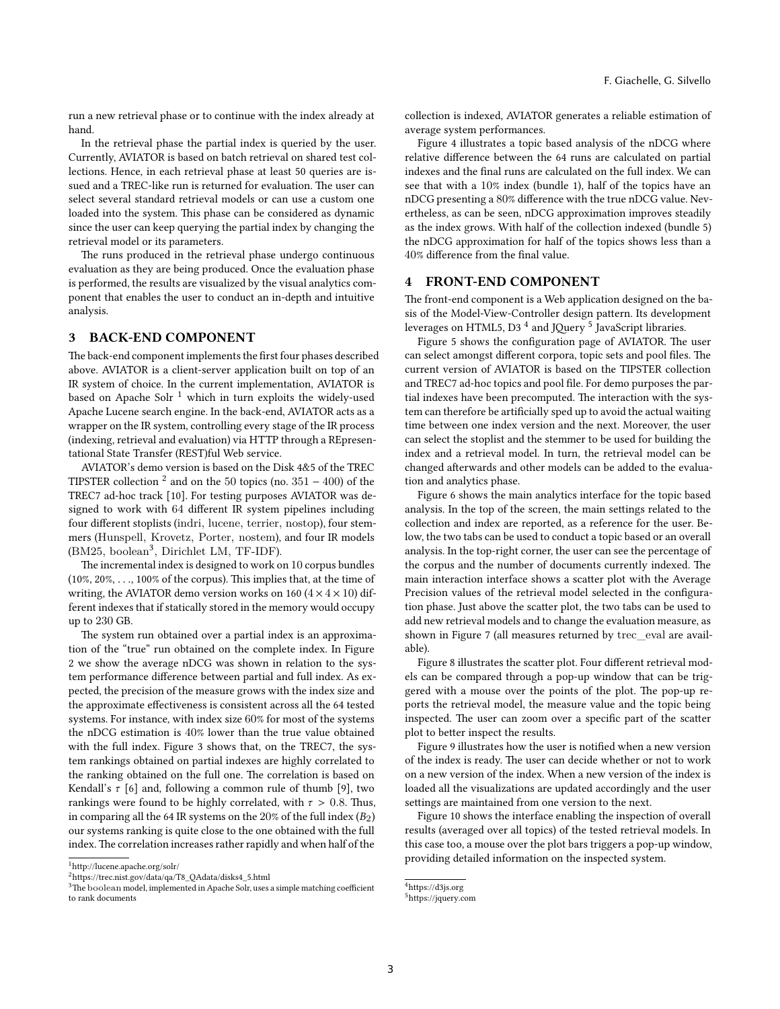run a new retrieval phase or to continue with the index already at hand.

In the retrieval phase the partial index is queried by the user. Currently, AVIATOR is based on batch retrieval on shared test collections. Hence, in each retrieval phase at least 50 queries are issued and a TREC-like run is returned for evaluation. The user can select several standard retrieval models or can use a custom one loaded into the system. This phase can be considered as dynamic since the user can keep querying the partial index by changing the retrieval model or its parameters.

The runs produced in the retrieval phase undergo continuous evaluation as they are being produced. Once the evaluation phase is performed, the results are visualized by the visual analytics component that enables the user to conduct an in-depth and intuitive analysis.

## **3 BACK-END COMPONENT**

The back-end component implements the first four phases described above. AVIATOR is a client-server application built on top of an IR system of choice. In the current implementation, AVIATOR is based on Apache Solr<sup>1</sup> which in turn exploits the widely-used Apache Lucene search engine. In the back-end, AVIATOR acts as a wrapper on the IR system, controlling every stage of the IR process (indexing, retrieval and evaluation) via HTTP through a REpresentational State Transfer (REST)ful Web service.

AVIATOR's demo version is based on the Disk 4&5 of the TREC TIPSTER collection <sup>2</sup> and on the 50 topics (no.  $351 - 400$ ) of the TREC7 ad-hoc track [10]. For testing purposes AVIATOR was designed to work with 64 different IR system pipelines including four different stoplists (indri, lucene, terrier, nostop), four stemmers (Hunspell, Krovetz, Porter, nostem), and four IR models (BM25, boolean<sup>3</sup>, Dirichlet LM, TF-IDF).

The incremental index is designed to work on 10 corpus bundles (10%, 20%, . . ., 100% of the corpus). This implies that, at the time of writing, the AVIATOR demo version works on 160  $(4 \times 4 \times 10)$  different indexes that if statically stored in the memory would occupy up to 230 GB.

The system run obtained over a partial index is an approximation of the "true" run obtained on the complete index. In Figure 2 we show the average nDCG was shown in relation to the system performance difference between partial and full index. As expected, the precision of the measure grows with the index size and the approximate effectiveness is consistent across all the 64 tested systems. For instance, with index size 60% for most of the systems the nDCG estimation is 40% lower than the true value obtained with the full index. Figure 3 shows that, on the TREC7, the system rankings obtained on partial indexes are highly correlated to the ranking obtained on the full one. The correlation is based on Kendall's *τ* [6] and, following a common rule of thumb [9], two rankings were found to be highly correlated, with *τ* > 0.8. Thus, in comparing all the 64 IR systems on the  $20\%$  of the full index  $(B_2)$ our systems ranking is quite close to the one obtained with the full index. The correlation increases rather rapidly and when half of the

 $^{\rm 1}$ <http://lucene.apache.org/solr/>

collection is indexed, AVIATOR generates a reliable estimation of average system performances.

Figure 4 illustrates a topic based analysis of the nDCG where relative difference between the 64 runs are calculated on partial indexes and the final runs are calculated on the full index. We can see that with a 10% index (bundle 1), half of the topics have an nDCG presenting a 80% difference with the true nDCG value. Nevertheless, as can be seen, nDCG approximation improves steadily as the index grows. With half of the collection indexed (bundle 5) the nDCG approximation for half of the topics shows less than a 40% difference from the final value.

## **4 FRONT-END COMPONENT**

The front-end component is a Web application designed on the basis of the Model-View-Controller design pattern. Its development leverages on HTML5, D3<sup>4</sup> and JQuery<sup>5</sup> JavaScript libraries.

Figure 5 shows the configuration page of AVIATOR. The user can select amongst different corpora, topic sets and pool files. The current version of AVIATOR is based on the TIPSTER collection and TREC7 ad-hoc topics and pool file. For demo purposes the partial indexes have been precomputed. The interaction with the system can therefore be artificially sped up to avoid the actual waiting time between one index version and the next. Moreover, the user can select the stoplist and the stemmer to be used for building the index and a retrieval model. In turn, the retrieval model can be changed afterwards and other models can be added to the evaluation and analytics phase.

Figure 6 shows the main analytics interface for the topic based analysis. In the top of the screen, the main settings related to the collection and index are reported, as a reference for the user. Below, the two tabs can be used to conduct a topic based or an overall analysis. In the top-right corner, the user can see the percentage of the corpus and the number of documents currently indexed. The main interaction interface shows a scatter plot with the Average Precision values of the retrieval model selected in the configuration phase. Just above the scatter plot, the two tabs can be used to add new retrieval models and to change the evaluation measure, as shown in Figure 7 (all measures returned by trec\_eval are available).

Figure 8 illustrates the scatter plot. Four different retrieval models can be compared through a pop-up window that can be triggered with a mouse over the points of the plot. The pop-up reports the retrieval model, the measure value and the topic being inspected. The user can zoom over a specific part of the scatter plot to better inspect the results.

Figure 9 illustrates how the user is notified when a new version of the index is ready. The user can decide whether or not to work on a new version of the index. When a new version of the index is loaded all the visualizations are updated accordingly and the user settings are maintained from one version to the next.

Figure 10 shows the interface enabling the inspection of overall results (averaged over all topics) of the tested retrieval models. In this case too, a mouse over the plot bars triggers a pop-up window, providing detailed information on the inspected system.

<sup>2</sup>[https://trec.nist.gov/data/qa/T8\\_QAdata/disks4\\_5.html](https://trec.nist.gov/data/qa/T8_QAdata/disks4_5.html)

<sup>&</sup>lt;sup>3</sup>The boolean model, implemented in Apache Solr, uses a simple matching coefficient to rank documents

<sup>4</sup><https://d3js.org>

<sup>5</sup><https://jquery.com>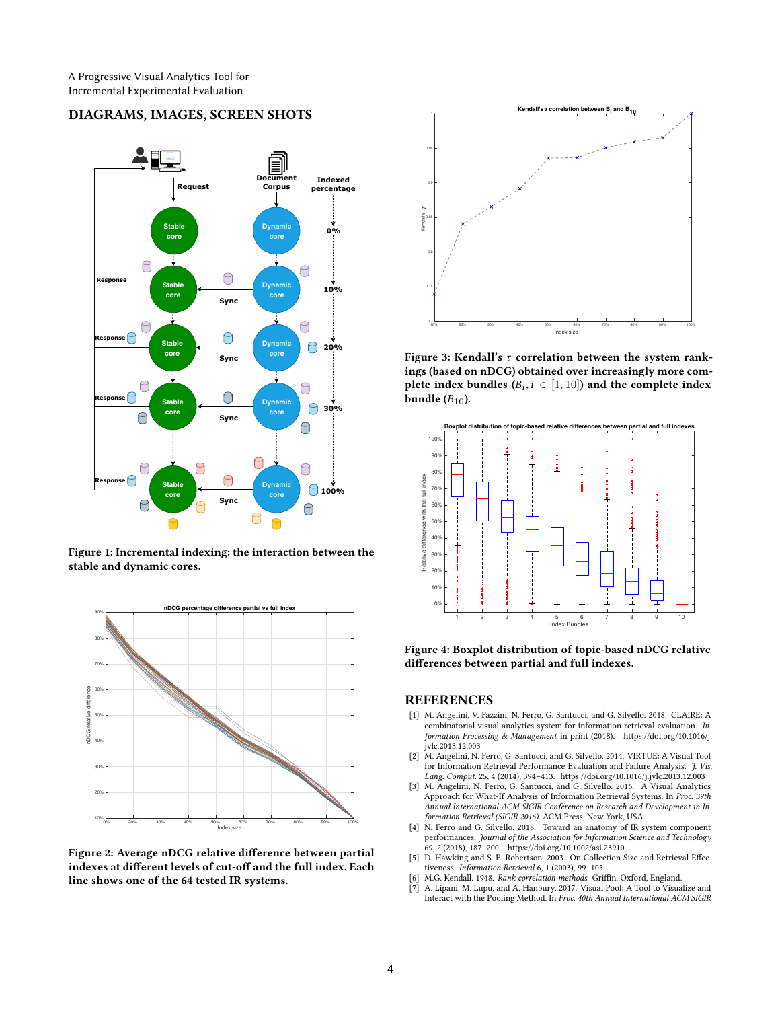# **DIAGRAMS, IMAGES, SCREEN SHOTS**



**Figure 1: Incremental indexing: the interaction between the stable and dynamic cores.**



**Figure 2: Average nDCG relative difference between partial indexes at different levels of cut-off and the full index. Each line shows one of the 64 tested IR systems.**



**Figure 3: Kendall's** *τ* **correlation between the system rankings (based on nDCG) obtained over increasingly more com**plete index bundles  $(B_i, i \in [1, 10])$  and the complete index **bundle**  $(B_{10})$ .



**Figure 4: Boxplot distribution of topic-based nDCG relative differences between partial and full indexes.**

## **REFERENCES**

- [1] M. Angelini, V. Fazzini, N. Ferro, G. Santucci, and G. Silvello. 2018. CLAIRE: A combinatorial visual analytics system for information retrieval evaluation. *Information Processing & Management* in print (2018). [https://doi.org/10.1016/j.](https://doi.org/10.1016/j.jvlc.2013.12.003) [jvlc.2013.12.003](https://doi.org/10.1016/j.jvlc.2013.12.003)
- [2] M. Angelini, N. Ferro, G. Santucci, and G. Silvello. 2014. VIRTUE: A Visual Tool for Information Retrieval Performance Evaluation and Failure Analysis. *J. Vis. Lang. Comput.* 25, 4 (2014), 394–413.<https://doi.org/10.1016/j.jvlc.2013.12.003>
- [3] M. Angelini, N. Ferro, G. Santucci, and G. Silvello. 2016. A Visual Analytics Approach for What-If Analysis of Information Retrieval Systems. In *Proc. 39th Annual International ACM SIGIR Conference on Research and Development in Information Retrieval (SIGIR 2016)*. ACM Press, New York, USA.
- [4] N. Ferro and G. Silvello. 2018. Toward an anatomy of IR system component performances. *Journal of the Association for Information Science and Technology* 69, 2 (2018), 187–200.<https://doi.org/10.1002/asi.23910>
- [5] D. Hawking and S. E. Robertson. 2003. On Collection Size and Retrieval Effectiveness. *Information Retrieval* 6, 1 (2003), 99–105.
- [6] M.G. Kendall. 1948. *Rank correlation methods*. Griffin, Oxford, England.
- [7] A. Lipani, M. Lupu, and A. Hanbury. 2017. Visual Pool: A Tool to Visualize and Interact with the Pooling Method. In *Proc. 40th Annual International ACM SIGIR*